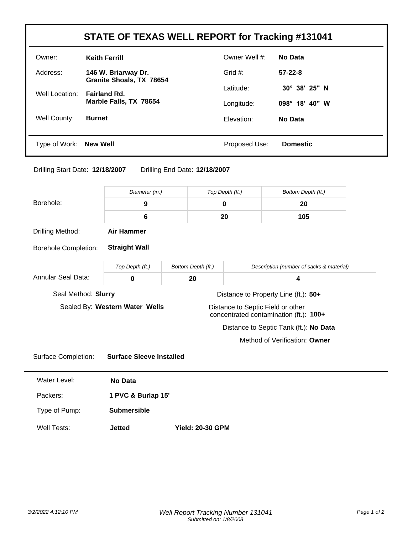| STATE OF TEXAS WELL REPORT for Tracking #131041 |                                                 |               |                 |
|-------------------------------------------------|-------------------------------------------------|---------------|-----------------|
| Owner:                                          | <b>Keith Ferrill</b>                            | Owner Well #: | <b>No Data</b>  |
| Address:                                        | 146 W. Briarway Dr.<br>Granite Shoals, TX 78654 | Grid $#$ :    | $57-22-8$       |
| Well Location:                                  | <b>Fairland Rd.</b>                             | Latitude:     | 30° 38' 25" N   |
|                                                 | Marble Falls, TX 78654                          | Longitude:    | 098° 18' 40" W  |
| Well County:                                    | <b>Burnet</b>                                   | Elevation:    | No Data         |
|                                                 |                                                 |               |                 |
| Type of Work:                                   | <b>New Well</b>                                 | Proposed Use: | <b>Domestic</b> |

## Drilling Start Date: **12/18/2007** Drilling End Date: **12/18/2007**

|                             | Diameter (in.)                  |                         | Top Depth (ft.) | Bottom Depth (ft.)                                                          |  |
|-----------------------------|---------------------------------|-------------------------|-----------------|-----------------------------------------------------------------------------|--|
| Borehole:                   | 9                               | $\mathbf 0$             |                 | 20                                                                          |  |
|                             | 6                               | 20                      |                 | 105                                                                         |  |
| Drilling Method:            | <b>Air Hammer</b>               |                         |                 |                                                                             |  |
| <b>Borehole Completion:</b> | <b>Straight Wall</b>            |                         |                 |                                                                             |  |
|                             | Top Depth (ft.)                 | Bottom Depth (ft.)      |                 | Description (number of sacks & material)                                    |  |
| Annular Seal Data:          | 0                               | 20                      |                 | 4                                                                           |  |
| Seal Method: Slurry         |                                 |                         |                 | Distance to Property Line (ft.): 50+                                        |  |
|                             | Sealed By: Western Water Wells  |                         |                 | Distance to Septic Field or other<br>concentrated contamination (ft.): 100+ |  |
|                             |                                 |                         |                 | Distance to Septic Tank (ft.): No Data                                      |  |
|                             |                                 |                         |                 | Method of Verification: Owner                                               |  |
| <b>Surface Completion:</b>  | <b>Surface Sleeve Installed</b> |                         |                 |                                                                             |  |
| Water Level:                | No Data                         |                         |                 |                                                                             |  |
| Packers:                    | 1 PVC & Burlap 15'              |                         |                 |                                                                             |  |
| Type of Pump:               | <b>Submersible</b>              |                         |                 |                                                                             |  |
| <b>Well Tests:</b>          | <b>Jetted</b>                   | <b>Yield: 20-30 GPM</b> |                 |                                                                             |  |